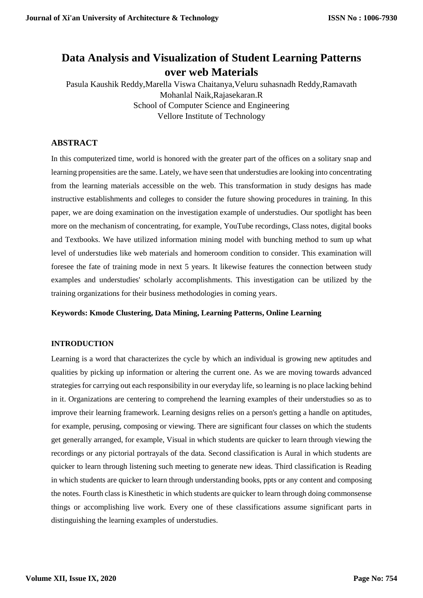# **Data Analysis and Visualization of Student Learning Patterns over web Materials**

Pasula Kaushik Reddy,Marella Viswa Chaitanya,Veluru suhasnadh Reddy,Ramavath Mohanlal Naik,Rajasekaran.R School of Computer Science and Engineering Vellore Institute of Technology

# **ABSTRACT**

In this computerized time, world is honored with the greater part of the offices on a solitary snap and learning propensities are the same. Lately, we have seen that understudies are looking into concentrating from the learning materials accessible on the web. This transformation in study designs has made instructive establishments and colleges to consider the future showing procedures in training. In this paper, we are doing examination on the investigation example of understudies. Our spotlight has been more on the mechanism of concentrating, for example, YouTube recordings, Class notes, digital books and Textbooks. We have utilized information mining model with bunching method to sum up what level of understudies like web materials and homeroom condition to consider. This examination will foresee the fate of training mode in next 5 years. It likewise features the connection between study examples and understudies' scholarly accomplishments. This investigation can be utilized by the training organizations for their business methodologies in coming years.

#### **Keywords: Kmode Clustering, Data Mining, Learning Patterns, Online Learning**

#### **INTRODUCTION**

Learning is a word that characterizes the cycle by which an individual is growing new aptitudes and qualities by picking up information or altering the current one. As we are moving towards advanced strategies for carrying out each responsibility in our everyday life, so learning is no place lacking behind in it. Organizations are centering to comprehend the learning examples of their understudies so as to improve their learning framework. Learning designs relies on a person's getting a handle on aptitudes, for example, perusing, composing or viewing. There are significant four classes on which the students get generally arranged, for example, Visual in which students are quicker to learn through viewing the recordings or any pictorial portrayals of the data. Second classification is Aural in which students are quicker to learn through listening such meeting to generate new ideas. Third classification is Reading in which students are quicker to learn through understanding books, ppts or any content and composing the notes. Fourth class is Kinesthetic in which students are quicker to learn through doing commonsense things or accomplishing live work. Every one of these classifications assume significant parts in distinguishing the learning examples of understudies.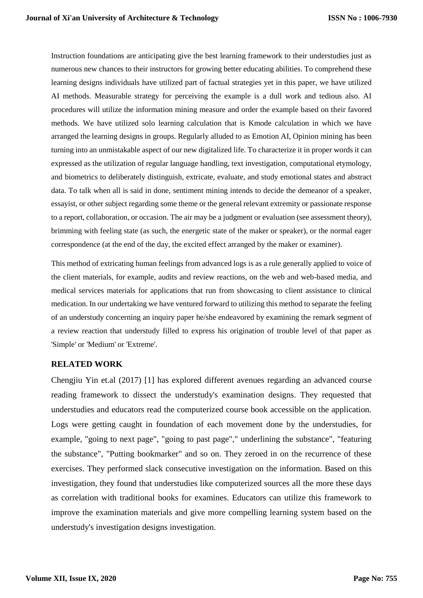Instruction foundations are anticipating give the best learning framework to their understudies just as numerous new chances to their instructors for growing better educating abilities. To comprehend these learning designs individuals have utilized part of factual strategies yet in this paper, we have utilized AI methods. Measurable strategy for perceiving the example is a dull work and tedious also. AI procedures will utilize the information mining measure and order the example based on their favored methods. We have utilized solo learning calculation that is Kmode calculation in which we have arranged the learning designs in groups. Regularly alluded to as Emotion AI, Opinion mining has been turning into an unmistakable aspect of our new digitalized life. To characterize it in proper words it can expressed as the utilization of regular language handling, text investigation, computational etymology, and biometrics to deliberately distinguish, extricate, evaluate, and study emotional states and abstract data. To talk when all is said in done, sentiment mining intends to decide the demeanor of a speaker, essayist, or other subject regarding some theme or the general relevant extremity or passionate response to a report, collaboration, or occasion. The air may be a judgment or evaluation (see assessment theory), brimming with feeling state (as such, the energetic state of the maker or speaker), or the normal eager correspondence (at the end of the day, the excited effect arranged by the maker or examiner).

This method of extricating human feelings from advanced logs is as a rule generally applied to voice of the client materials, for example, audits and review reactions, on the web and web-based media, and medical services materials for applications that run from showcasing to client assistance to clinical medication. In our undertaking we have ventured forward to utilizing this method to separate the feeling of an understudy concerning an inquiry paper he/she endeavored by examining the remark segment of a review reaction that understudy filled to express his origination of trouble level of that paper as 'Simple' or 'Medium' or 'Extreme'.

### **RELATED WORK**

Chengjiu Yin et.al (2017) [1] has explored different avenues regarding an advanced course reading framework to dissect the understudy's examination designs. They requested that understudies and educators read the computerized course book accessible on the application. Logs were getting caught in foundation of each movement done by the understudies, for example, "going to next page", "going to past page"," underlining the substance", "featuring the substance", "Putting bookmarker" and so on. They zeroed in on the recurrence of these exercises. They performed slack consecutive investigation on the information. Based on this investigation, they found that understudies like computerized sources all the more these days as correlation with traditional books for examines. Educators can utilize this framework to improve the examination materials and give more compelling learning system based on the understudy's investigation designs investigation.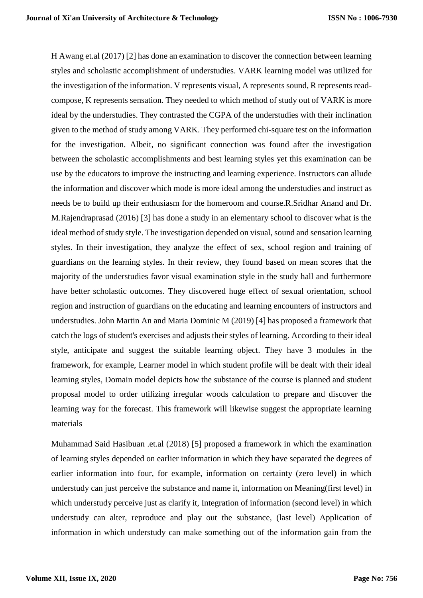H Awang et.al (2017) [2] has done an examination to discover the connection between learning styles and scholastic accomplishment of understudies. VARK learning model was utilized for the investigation of the information. V represents visual, A represents sound, R represents readcompose, K represents sensation. They needed to which method of study out of VARK is more ideal by the understudies. They contrasted the CGPA of the understudies with their inclination given to the method of study among VARK. They performed chi-square test on the information for the investigation. Albeit, no significant connection was found after the investigation between the scholastic accomplishments and best learning styles yet this examination can be use by the educators to improve the instructing and learning experience. Instructors can allude the information and discover which mode is more ideal among the understudies and instruct as needs be to build up their enthusiasm for the homeroom and course.R.Sridhar Anand and Dr. M.Rajendraprasad (2016) [3] has done a study in an elementary school to discover what is the ideal method of study style. The investigation depended on visual, sound and sensation learning styles. In their investigation, they analyze the effect of sex, school region and training of guardians on the learning styles. In their review, they found based on mean scores that the majority of the understudies favor visual examination style in the study hall and furthermore have better scholastic outcomes. They discovered huge effect of sexual orientation, school region and instruction of guardians on the educating and learning encounters of instructors and understudies. John Martin An and Maria Dominic M (2019) [4] has proposed a framework that catch the logs of student's exercises and adjusts their styles of learning. According to their ideal style, anticipate and suggest the suitable learning object. They have 3 modules in the framework, for example, Learner model in which student profile will be dealt with their ideal learning styles, Domain model depicts how the substance of the course is planned and student proposal model to order utilizing irregular woods calculation to prepare and discover the learning way for the forecast. This framework will likewise suggest the appropriate learning materials

Muhammad Said Hasibuan .et.al (2018) [5] proposed a framework in which the examination of learning styles depended on earlier information in which they have separated the degrees of earlier information into four, for example, information on certainty (zero level) in which understudy can just perceive the substance and name it, information on Meaning(first level) in which understudy perceive just as clarify it, Integration of information (second level) in which understudy can alter, reproduce and play out the substance, (last level) Application of information in which understudy can make something out of the information gain from the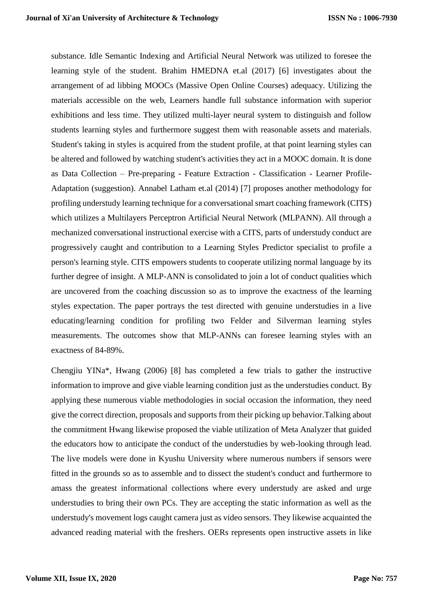substance. Idle Semantic Indexing and Artificial Neural Network was utilized to foresee the learning style of the student. Brahim HMEDNA et.al (2017) [6] investigates about the arrangement of ad libbing MOOCs (Massive Open Online Courses) adequacy. Utilizing the materials accessible on the web, Learners handle full substance information with superior exhibitions and less time. They utilized multi-layer neural system to distinguish and follow students learning styles and furthermore suggest them with reasonable assets and materials. Student's taking in styles is acquired from the student profile, at that point learning styles can be altered and followed by watching student's activities they act in a MOOC domain. It is done as Data Collection – Pre-preparing - Feature Extraction - Classification - Learner Profile-Adaptation (suggestion). Annabel Latham et.al (2014) [7] proposes another methodology for profiling understudy learning technique for a conversational smart coaching framework (CITS) which utilizes a Multilayers Perceptron Artificial Neural Network (MLPANN). All through a mechanized conversational instructional exercise with a CITS, parts of understudy conduct are progressively caught and contribution to a Learning Styles Predictor specialist to profile a person's learning style. CITS empowers students to cooperate utilizing normal language by its further degree of insight. A MLP-ANN is consolidated to join a lot of conduct qualities which are uncovered from the coaching discussion so as to improve the exactness of the learning styles expectation. The paper portrays the test directed with genuine understudies in a live educating/learning condition for profiling two Felder and Silverman learning styles measurements. The outcomes show that MLP-ANNs can foresee learning styles with an exactness of 84-89%.

Chengjiu YINa\*, Hwang (2006) [8] has completed a few trials to gather the instructive information to improve and give viable learning condition just as the understudies conduct. By applying these numerous viable methodologies in social occasion the information, they need give the correct direction, proposals and supports from their picking up behavior.Talking about the commitment Hwang likewise proposed the viable utilization of Meta Analyzer that guided the educators how to anticipate the conduct of the understudies by web-looking through lead. The live models were done in Kyushu University where numerous numbers if sensors were fitted in the grounds so as to assemble and to dissect the student's conduct and furthermore to amass the greatest informational collections where every understudy are asked and urge understudies to bring their own PCs. They are accepting the static information as well as the understudy's movement logs caught camera just as video sensors. They likewise acquainted the advanced reading material with the freshers. OERs represents open instructive assets in like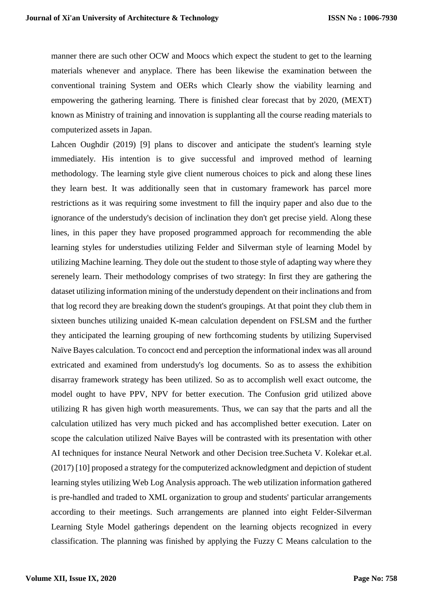manner there are such other OCW and Moocs which expect the student to get to the learning materials whenever and anyplace. There has been likewise the examination between the conventional training System and OERs which Clearly show the viability learning and empowering the gathering learning. There is finished clear forecast that by 2020, (MEXT) known as Ministry of training and innovation is supplanting all the course reading materials to computerized assets in Japan.

Lahcen Oughdir (2019) [9] plans to discover and anticipate the student's learning style immediately. His intention is to give successful and improved method of learning methodology. The learning style give client numerous choices to pick and along these lines they learn best. It was additionally seen that in customary framework has parcel more restrictions as it was requiring some investment to fill the inquiry paper and also due to the ignorance of the understudy's decision of inclination they don't get precise yield. Along these lines, in this paper they have proposed programmed approach for recommending the able learning styles for understudies utilizing Felder and Silverman style of learning Model by utilizing Machine learning. They dole out the student to those style of adapting way where they serenely learn. Their methodology comprises of two strategy: In first they are gathering the dataset utilizing information mining of the understudy dependent on their inclinations and from that log record they are breaking down the student's groupings. At that point they club them in sixteen bunches utilizing unaided K-mean calculation dependent on FSLSM and the further they anticipated the learning grouping of new forthcoming students by utilizing Supervised Naïve Bayes calculation. To concoct end and perception the informational index was all around extricated and examined from understudy's log documents. So as to assess the exhibition disarray framework strategy has been utilized. So as to accomplish well exact outcome, the model ought to have PPV, NPV for better execution. The Confusion grid utilized above utilizing R has given high worth measurements. Thus, we can say that the parts and all the calculation utilized has very much picked and has accomplished better execution. Later on scope the calculation utilized Naïve Bayes will be contrasted with its presentation with other AI techniques for instance Neural Network and other Decision tree.Sucheta V. Kolekar et.al. (2017) [10] proposed a strategy for the computerized acknowledgment and depiction of student learning styles utilizing Web Log Analysis approach. The web utilization information gathered is pre-handled and traded to XML organization to group and students' particular arrangements according to their meetings. Such arrangements are planned into eight Felder-Silverman Learning Style Model gatherings dependent on the learning objects recognized in every classification. The planning was finished by applying the Fuzzy C Means calculation to the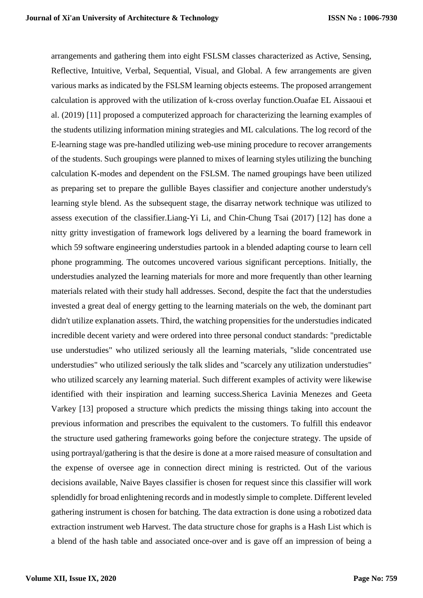arrangements and gathering them into eight FSLSM classes characterized as Active, Sensing, Reflective, Intuitive, Verbal, Sequential, Visual, and Global. A few arrangements are given various marks as indicated by the FSLSM learning objects esteems. The proposed arrangement calculation is approved with the utilization of k-cross overlay function.Ouafae EL Aissaoui et al. (2019) [11] proposed a computerized approach for characterizing the learning examples of the students utilizing information mining strategies and ML calculations. The log record of the E-learning stage was pre-handled utilizing web-use mining procedure to recover arrangements of the students. Such groupings were planned to mixes of learning styles utilizing the bunching calculation K-modes and dependent on the FSLSM. The named groupings have been utilized as preparing set to prepare the gullible Bayes classifier and conjecture another understudy's learning style blend. As the subsequent stage, the disarray network technique was utilized to assess execution of the classifier.Liang-Yi Li, and Chin-Chung Tsai (2017) [12] has done a nitty gritty investigation of framework logs delivered by a learning the board framework in which 59 software engineering understudies partook in a blended adapting course to learn cell phone programming. The outcomes uncovered various significant perceptions. Initially, the understudies analyzed the learning materials for more and more frequently than other learning materials related with their study hall addresses. Second, despite the fact that the understudies invested a great deal of energy getting to the learning materials on the web, the dominant part didn't utilize explanation assets. Third, the watching propensities for the understudies indicated incredible decent variety and were ordered into three personal conduct standards: "predictable use understudies" who utilized seriously all the learning materials, "slide concentrated use understudies" who utilized seriously the talk slides and "scarcely any utilization understudies" who utilized scarcely any learning material. Such different examples of activity were likewise identified with their inspiration and learning success.Sherica Lavinia Menezes and Geeta Varkey [13] proposed a structure which predicts the missing things taking into account the previous information and prescribes the equivalent to the customers. To fulfill this endeavor the structure used gathering frameworks going before the conjecture strategy. The upside of using portrayal/gathering is that the desire is done at a more raised measure of consultation and the expense of oversee age in connection direct mining is restricted. Out of the various decisions available, Naive Bayes classifier is chosen for request since this classifier will work splendidly for broad enlightening records and in modestly simple to complete. Different leveled gathering instrument is chosen for batching. The data extraction is done using a robotized data extraction instrument web Harvest. The data structure chose for graphs is a Hash List which is a blend of the hash table and associated once-over and is gave off an impression of being a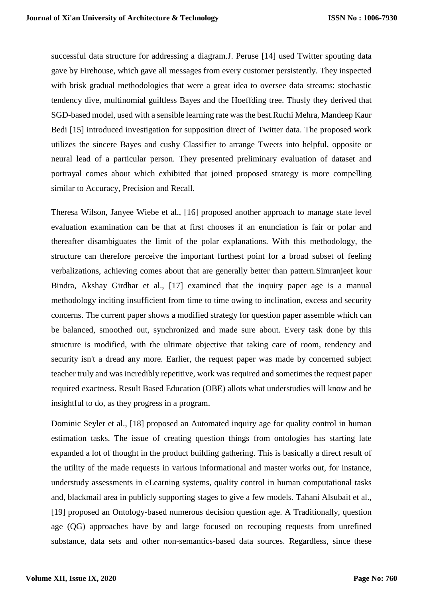successful data structure for addressing a diagram.J. Peruse [14] used Twitter spouting data gave by Firehouse, which gave all messages from every customer persistently. They inspected with brisk gradual methodologies that were a great idea to oversee data streams: stochastic tendency dive, multinomial guiltless Bayes and the Hoeffding tree. Thusly they derived that SGD-based model, used with a sensible learning rate was the best.Ruchi Mehra, Mandeep Kaur Bedi [15] introduced investigation for supposition direct of Twitter data. The proposed work utilizes the sincere Bayes and cushy Classifier to arrange Tweets into helpful, opposite or neural lead of a particular person. They presented preliminary evaluation of dataset and portrayal comes about which exhibited that joined proposed strategy is more compelling similar to Accuracy, Precision and Recall.

Theresa Wilson, Janyee Wiebe et al., [16] proposed another approach to manage state level evaluation examination can be that at first chooses if an enunciation is fair or polar and thereafter disambiguates the limit of the polar explanations. With this methodology, the structure can therefore perceive the important furthest point for a broad subset of feeling verbalizations, achieving comes about that are generally better than pattern.Simranjeet kour Bindra, Akshay Girdhar et al., [17] examined that the inquiry paper age is a manual methodology inciting insufficient from time to time owing to inclination, excess and security concerns. The current paper shows a modified strategy for question paper assemble which can be balanced, smoothed out, synchronized and made sure about. Every task done by this structure is modified, with the ultimate objective that taking care of room, tendency and security isn't a dread any more. Earlier, the request paper was made by concerned subject teacher truly and was incredibly repetitive, work was required and sometimes the request paper required exactness. Result Based Education (OBE) allots what understudies will know and be insightful to do, as they progress in a program.

Dominic Seyler et al., [18] proposed an Automated inquiry age for quality control in human estimation tasks. The issue of creating question things from ontologies has starting late expanded a lot of thought in the product building gathering. This is basically a direct result of the utility of the made requests in various informational and master works out, for instance, understudy assessments in eLearning systems, quality control in human computational tasks and, blackmail area in publicly supporting stages to give a few models. Tahani Alsubait et al., [19] proposed an Ontology-based numerous decision question age. A Traditionally, question age (QG) approaches have by and large focused on recouping requests from unrefined substance, data sets and other non-semantics-based data sources. Regardless, since these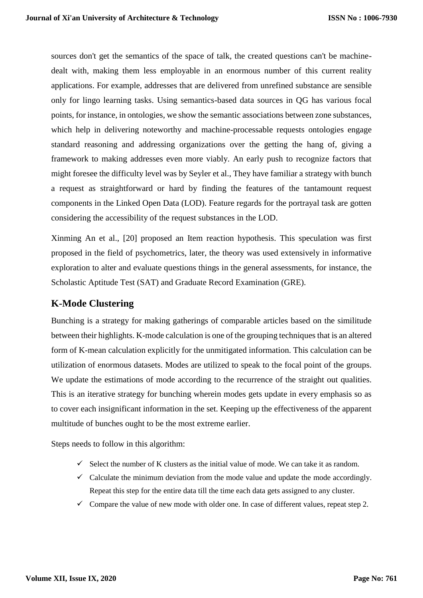sources don't get the semantics of the space of talk, the created questions can't be machinedealt with, making them less employable in an enormous number of this current reality applications. For example, addresses that are delivered from unrefined substance are sensible only for lingo learning tasks. Using semantics-based data sources in QG has various focal points, for instance, in ontologies, we show the semantic associations between zone substances, which help in delivering noteworthy and machine-processable requests ontologies engage standard reasoning and addressing organizations over the getting the hang of, giving a framework to making addresses even more viably. An early push to recognize factors that might foresee the difficulty level was by Seyler et al., They have familiar a strategy with bunch a request as straightforward or hard by finding the features of the tantamount request components in the Linked Open Data (LOD). Feature regards for the portrayal task are gotten considering the accessibility of the request substances in the LOD.

Xinming An et al., [20] proposed an Item reaction hypothesis. This speculation was first proposed in the field of psychometrics, later, the theory was used extensively in informative exploration to alter and evaluate questions things in the general assessments, for instance, the Scholastic Aptitude Test (SAT) and Graduate Record Examination (GRE).

# **K-Mode Clustering**

Bunching is a strategy for making gatherings of comparable articles based on the similitude between their highlights. K-mode calculation is one of the grouping techniques that is an altered form of K-mean calculation explicitly for the unmitigated information. This calculation can be utilization of enormous datasets. Modes are utilized to speak to the focal point of the groups. We update the estimations of mode according to the recurrence of the straight out qualities. This is an iterative strategy for bunching wherein modes gets update in every emphasis so as to cover each insignificant information in the set. Keeping up the effectiveness of the apparent multitude of bunches ought to be the most extreme earlier.

Steps needs to follow in this algorithm:

- $\checkmark$  Select the number of K clusters as the initial value of mode. We can take it as random.
- $\checkmark$  Calculate the minimum deviation from the mode value and update the mode accordingly. Repeat this step for the entire data till the time each data gets assigned to any cluster.
- $\checkmark$  Compare the value of new mode with older one. In case of different values, repeat step 2.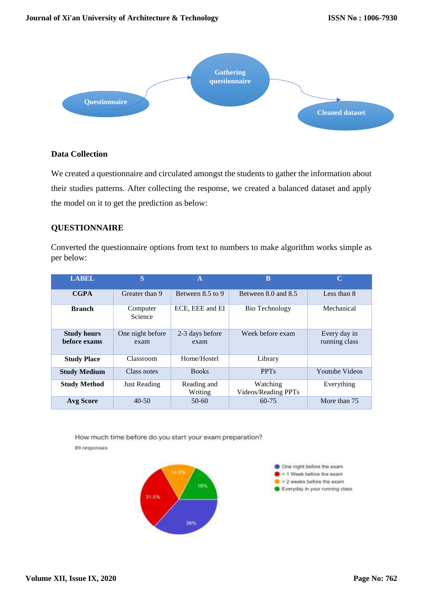

# **Data Collection**

We created a questionnaire and circulated amongst the students to gather the information about their studies patterns. After collecting the response, we created a balanced dataset and apply the model on it to get the prediction as below:

# **QUESTIONNAIRE**

Converted the questionnaire options from text to numbers to make algorithm works simple as per below:

| <b>LABEL</b>                       | S                        | $\mathbf{A}$            | B                               | C                             |
|------------------------------------|--------------------------|-------------------------|---------------------------------|-------------------------------|
| <b>CGPA</b>                        | Greater than 9           | Between $8.5$ to 9      | Between 8.0 and 8.5             | Less than 8                   |
| <b>Branch</b>                      | Computer<br>Science      | ECE, EEE and EI         | Bio Technology                  | Mechanical                    |
| <b>Study hours</b><br>before exams | One night before<br>exam | 2-3 days before<br>exam | Week before exam                | Every day in<br>running class |
| <b>Study Place</b>                 | Classroom                | Home/Hostel             | Library                         |                               |
| <b>Study Medium</b>                | Class notes              | <b>Books</b>            | <b>PPT<sub>s</sub></b>          | <b>Youtube Videos</b>         |
| <b>Study Method</b>                | <b>Just Reading</b>      | Reading and<br>Writing  | Watching<br>Videos/Reading PPTs | Everything                    |
| <b>Avg Score</b>                   | $40 - 50$                | $50-60$                 | $60 - 75$                       | More than 75                  |

How much time before do you start your exam preparation? 89 responses



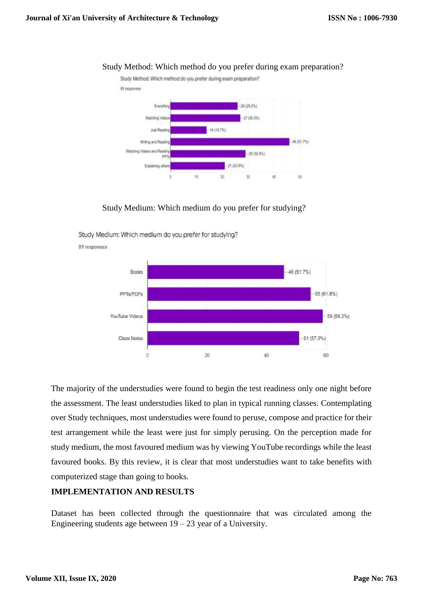

#### Study Method: Which method do you prefer during exam preparation?

Study Medium: Which medium do you prefer for studying?

Study Medium: Which medium do you prefer for studying?



89 responses

The majority of the understudies were found to begin the test readiness only one night before the assessment. The least understudies liked to plan in typical running classes. Contemplating over Study techniques, most understudies were found to peruse, compose and practice for their test arrangement while the least were just for simply perusing. On the perception made for study medium, the most favoured medium was by viewing YouTube recordings while the least favoured books. By this review, it is clear that most understudies want to take benefits with computerized stage than going to books.

## **IMPLEMENTATION AND RESULTS**

Dataset has been collected through the questionnaire that was circulated among the Engineering students age between  $19 - 23$  year of a University.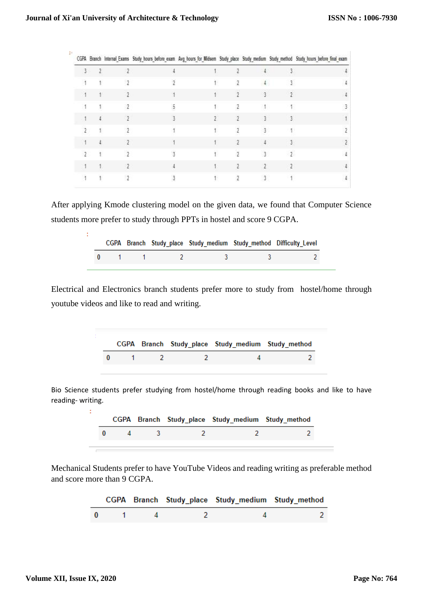÷.

H.

| $\mathbb{I}^*$ |    |    |   |   |   |                | CGPA Branch Internal_Exams Study_hours_before_exam Avg_hours_for_Midsem Study_place Study_medium Study_method Study_hours_before_final_exam |
|----------------|----|----|---|---|---|----------------|---------------------------------------------------------------------------------------------------------------------------------------------|
|                | 3. | э. |   |   |   |                |                                                                                                                                             |
|                |    |    |   |   |   |                |                                                                                                                                             |
|                |    |    |   |   |   | 3              |                                                                                                                                             |
|                |    |    |   |   |   |                |                                                                                                                                             |
|                |    |    |   | 7 | γ | 3              |                                                                                                                                             |
|                |    |    |   |   |   | ٩              |                                                                                                                                             |
|                |    |    |   |   |   |                |                                                                                                                                             |
|                |    |    | 2 |   | 2 | 3              |                                                                                                                                             |
|                |    |    |   |   |   | $\overline{2}$ |                                                                                                                                             |
|                |    |    |   |   |   |                |                                                                                                                                             |

After applying Kmode clustering model on the given data, we found that Computer Science students more prefer to study through PPTs in hostel and score 9 CGPA.

|  |  |                                                                                                                | CGPA Branch Study place Study medium Study method Difficulty Level |
|--|--|----------------------------------------------------------------------------------------------------------------|--------------------------------------------------------------------|
|  |  | 1000mm - 100mm - 100mm - 100mm - 100mm - 100mm - 100mm - 100mm - 100mm - 100mm - 100mm - 100mm - 100mm - 100mm |                                                                    |

Electrical and Electronics branch students prefer more to study from hostel/home through youtube videos and like to read and writing.

|  |  | CGPA Branch Study_place Study_medium Study_method |  |
|--|--|---------------------------------------------------|--|
|  |  |                                                   |  |

Bio Science students prefer studying from hostel/home through reading books and like to have reading- writing.

|  |  |  | CGPA Branch Study_place Study_medium Study_method |  |
|--|--|--|---------------------------------------------------|--|
|  |  |  |                                                   |  |

Mechanical Students prefer to have YouTube Videos and reading writing as preferable method and score more than 9 CGPA.

|  |  | CGPA Branch Study place Study medium Study method |  |
|--|--|---------------------------------------------------|--|
|  |  |                                                   |  |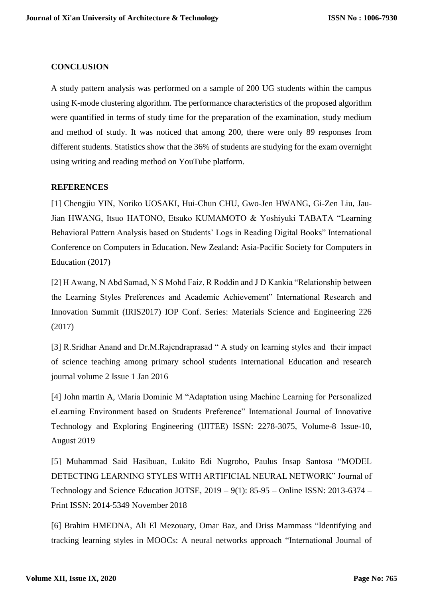## **CONCLUSION**

A study pattern analysis was performed on a sample of 200 UG students within the campus using K-mode clustering algorithm. The performance characteristics of the proposed algorithm were quantified in terms of study time for the preparation of the examination, study medium and method of study. It was noticed that among 200, there were only 89 responses from different students. Statistics show that the 36% of students are studying for the exam overnight using writing and reading method on YouTube platform.

#### **REFERENCES**

[1] Chengjiu YIN, Noriko UOSAKI, Hui-Chun CHU, Gwo-Jen HWANG, Gi-Zen Liu, Jau-Jian HWANG, Itsuo HATONO, Etsuko KUMAMOTO & Yoshiyuki TABATA "Learning Behavioral Pattern Analysis based on Students' Logs in Reading Digital Books" International Conference on Computers in Education. New Zealand: Asia-Pacific Society for Computers in Education (2017)

[2] H Awang, N Abd Samad, N S Mohd Faiz, R Roddin and J D Kankia "Relationship between the Learning Styles Preferences and Academic Achievement" International Research and Innovation Summit (IRIS2017) IOP Conf. Series: Materials Science and Engineering 226 (2017)

[3] R.Sridhar Anand and Dr.M.Rajendraprasad " A study on learning styles and their impact of science teaching among primary school students International Education and research journal volume 2 Issue 1 Jan 2016

[4] John martin A, \Maria Dominic M "Adaptation using Machine Learning for Personalized eLearning Environment based on Students Preference" International Journal of Innovative Technology and Exploring Engineering (IJITEE) ISSN: 2278-3075, Volume-8 Issue-10, August 2019

[5] Muhammad Said Hasibuan, Lukito Edi Nugroho, Paulus Insap Santosa "MODEL DETECTING LEARNING STYLES WITH ARTIFICIAL NEURAL NETWORK" Journal of Technology and Science Education JOTSE, 2019 – 9(1): 85-95 – Online ISSN: 2013-6374 – Print ISSN: 2014-5349 November 2018

[6] Brahim HMEDNA, Ali El Mezouary, Omar Baz, and Driss Mammass "Identifying and tracking learning styles in MOOCs: A neural networks approach "International Journal of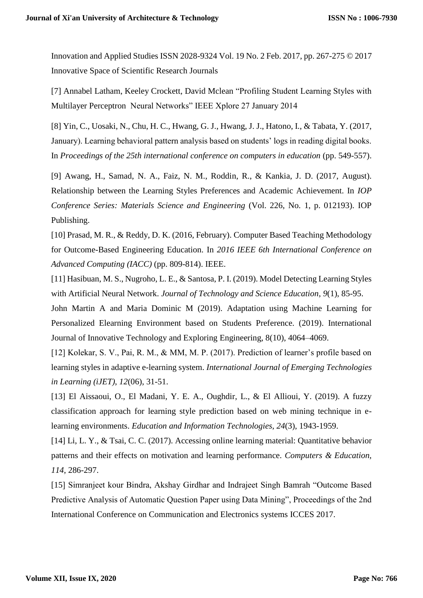Innovation and Applied Studies ISSN 2028-9324 Vol. 19 No. 2 Feb. 2017, pp. 267-275 © 2017 Innovative Space of Scientific Research Journals

[7] Annabel Latham, Keeley Crockett, David Mclean "Profiling Student Learning Styles with Multilayer Perceptron Neural Networks" IEEE Xplore 27 January 2014

[8] Yin, C., Uosaki, N., Chu, H. C., Hwang, G. J., Hwang, J. J., Hatono, I., & Tabata, Y. (2017, January). Learning behavioral pattern analysis based on students' logs in reading digital books. In *Proceedings of the 25th international conference on computers in education* (pp. 549-557).

[9] Awang, H., Samad, N. A., Faiz, N. M., Roddin, R., & Kankia, J. D. (2017, August). Relationship between the Learning Styles Preferences and Academic Achievement. In *IOP Conference Series: Materials Science and Engineering* (Vol. 226, No. 1, p. 012193). IOP Publishing.

[10] Prasad, M. R., & Reddy, D. K. (2016, February). Computer Based Teaching Methodology for Outcome-Based Engineering Education. In *2016 IEEE 6th International Conference on Advanced Computing (IACC)* (pp. 809-814). IEEE.

[11] Hasibuan, M. S., Nugroho, L. E., & Santosa, P. I. (2019). Model Detecting Learning Styles with Artificial Neural Network. *Journal of Technology and Science Education*, *9*(1), 85-95.

John Martin A and Maria Dominic M (2019). Adaptation using Machine Learning for Personalized Elearning Environment based on Students Preference. (2019). International Journal of Innovative Technology and Exploring Engineering, 8(10), 4064–4069.

[12] Kolekar, S. V., Pai, R. M., & MM, M. P. (2017). Prediction of learner's profile based on learning styles in adaptive e-learning system. *International Journal of Emerging Technologies in Learning (iJET)*, *12*(06), 31-51.

[13] El Aissaoui, O., El Madani, Y. E. A., Oughdir, L., & El Allioui, Y. (2019). A fuzzy classification approach for learning style prediction based on web mining technique in elearning environments. *Education and Information Technologies*, *24*(3), 1943-1959.

[14] Li, L. Y., & Tsai, C. C. (2017). Accessing online learning material: Quantitative behavior patterns and their effects on motivation and learning performance. *Computers & Education*, *114*, 286-297.

[15] Simranjeet kour Bindra, Akshay Girdhar and Indrajeet Singh Bamrah "Outcome Based Predictive Analysis of Automatic Question Paper using Data Mining", Proceedings of the 2nd International Conference on Communication and Electronics systems ICCES 2017.